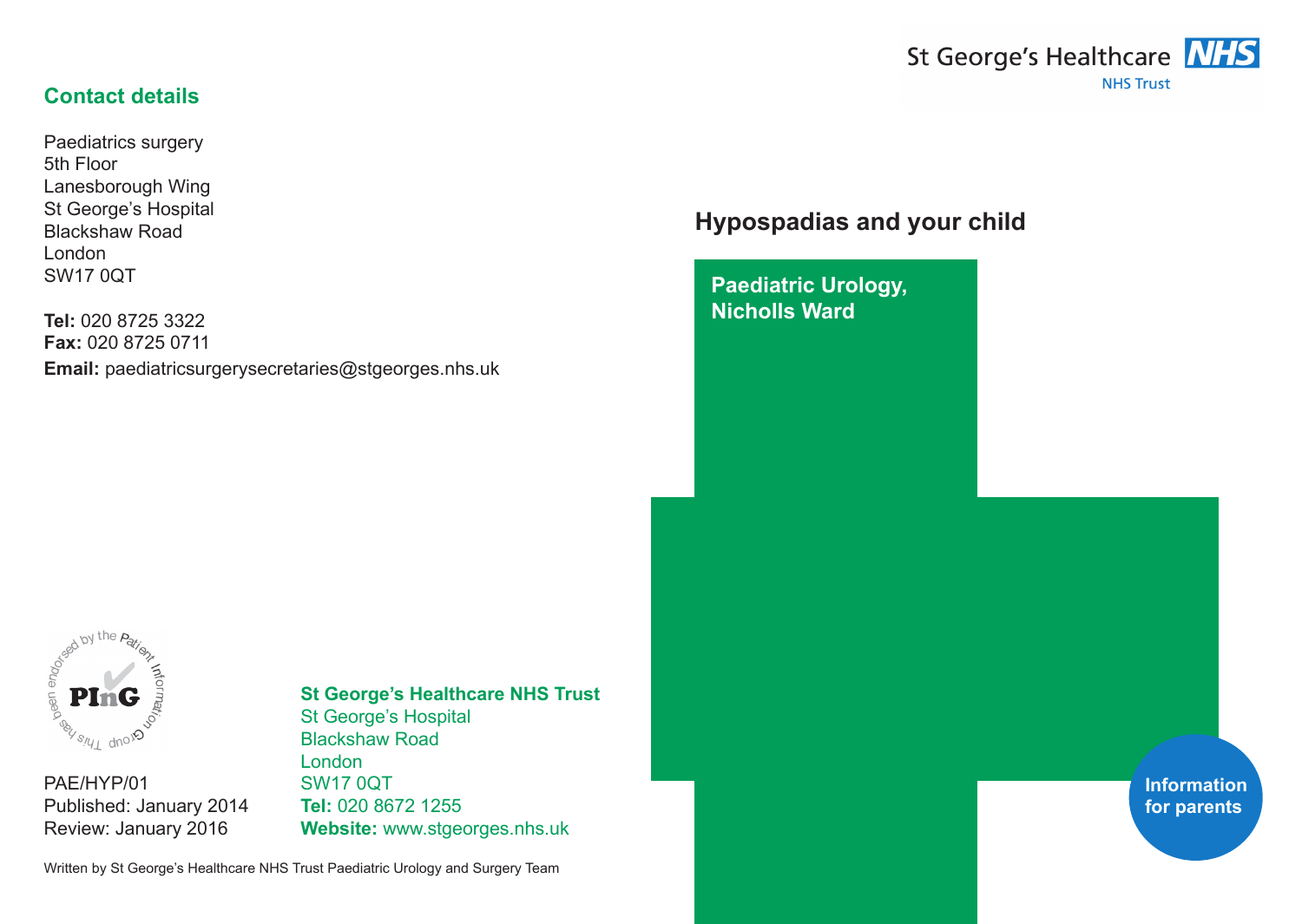# St George's Healthcare **NHS NHS Trust**

## **Contact details**

Paediatrics surgery 5th Floor Lanesborough Wing St George's Hospital Blackshaw Road London SW17 0QT

**Tel:** 020 8725 3322 **Fax:** 020 8725 0711 **Email:** paediatricsurgerysecretaries@stgeorges.nhs.uk

## **Hypospadias and your child**

**Paediatric Urology, Nicholls Ward**



PAE/HYP/01 Published: January 2014 Review: January 2016

# **St George's Healthcare NHS Trust**

St George's Hospital Blackshaw Road London SW17 0QT **Tel:** 020 8672 1255 **Website:** www.stgeorges.nhs.uk

Written by St George's Healthcare NHS Trust Paediatric Urology and Surgery Team

**Information for parents**